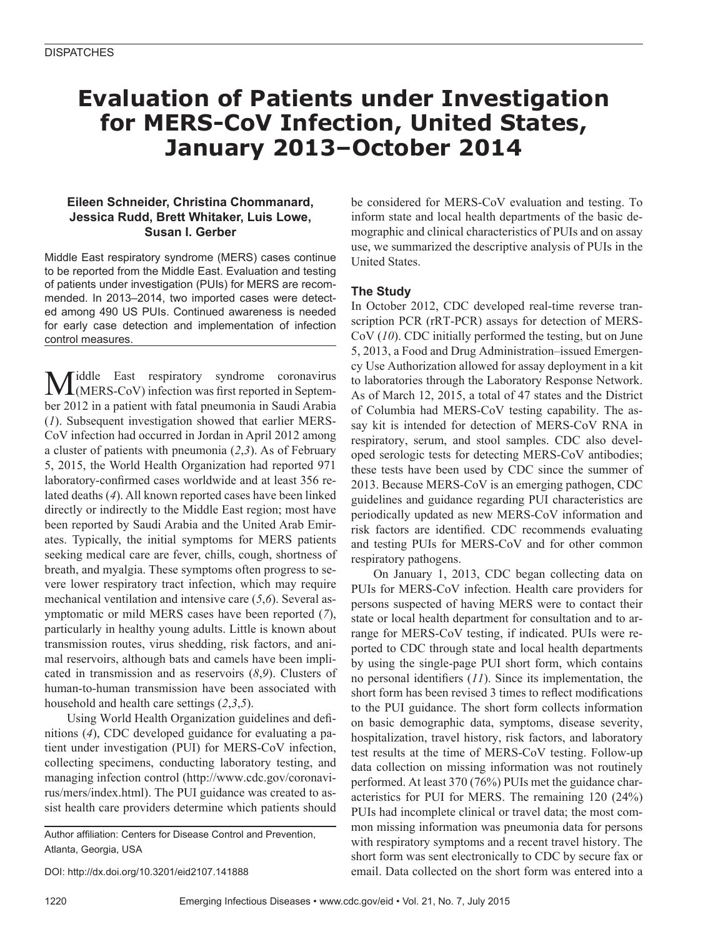## **Evaluation of Patients under Investigation for MERS-CoV Infection, United States, January 2013–October 2014**

## **Eileen Schneider, Christina Chommanard, Jessica Rudd, Brett Whitaker, Luis Lowe, Susan I. Gerber**

Middle East respiratory syndrome (MERS) cases continue to be reported from the Middle East. Evaluation and testing of patients under investigation (PUIs) for MERS are recommended. In 2013–2014, two imported cases were detected among 490 US PUIs. Continued awareness is needed for early case detection and implementation of infection control measures.

Middle East respiratory syndrome coronavirus<br>
(MERS-CoV) infection was first reported in September 2012 in a patient with fatal pneumonia in Saudi Arabia (*1*). Subsequent investigation showed that earlier MERS-CoV infection had occurred in Jordan in April 2012 among a cluster of patients with pneumonia (*2*,*3*). As of February 5, 2015, the World Health Organization had reported 971 laboratory-confirmed cases worldwide and at least 356 related deaths (*4*). All known reported cases have been linked directly or indirectly to the Middle East region; most have been reported by Saudi Arabia and the United Arab Emirates. Typically, the initial symptoms for MERS patients seeking medical care are fever, chills, cough, shortness of breath, and myalgia. These symptoms often progress to severe lower respiratory tract infection, which may require mechanical ventilation and intensive care (*5*,*6*). Several asymptomatic or mild MERS cases have been reported (*7*), particularly in healthy young adults. Little is known about transmission routes, virus shedding, risk factors, and animal reservoirs, although bats and camels have been implicated in transmission and as reservoirs (*8*,*9*). Clusters of human-to-human transmission have been associated with household and health care settings (*2*,*3*,*5*).

Using World Health Organization guidelines and definitions (*4*), CDC developed guidance for evaluating a patient under investigation (PUI) for MERS-CoV infection, collecting specimens, conducting laboratory testing, and managing infection control (http://www.cdc.gov/coronavirus/mers/index.html). The PUI guidance was created to assist health care providers determine which patients should

Author affiliation: Centers for Disease Control and Prevention, Atlanta, Georgia, USA

DOI: http://dx.doi.org/10.3201/eid2107.141888

be considered for MERS-CoV evaluation and testing. To inform state and local health departments of the basic demographic and clinical characteristics of PUIs and on assay use, we summarized the descriptive analysis of PUIs in the United States.

## **The Study**

In October 2012, CDC developed real-time reverse transcription PCR (rRT-PCR) assays for detection of MERS-CoV (*10*). CDC initially performed the testing, but on June 5, 2013, a Food and Drug Administration–issued Emergency Use Authorization allowed for assay deployment in a kit to laboratories through the Laboratory Response Network. As of March 12, 2015, a total of 47 states and the District of Columbia had MERS-CoV testing capability. The assay kit is intended for detection of MERS-CoV RNA in respiratory, serum, and stool samples. CDC also developed serologic tests for detecting MERS-CoV antibodies; these tests have been used by CDC since the summer of 2013. Because MERS-CoV is an emerging pathogen, CDC guidelines and guidance regarding PUI characteristics are periodically updated as new MERS-CoV information and risk factors are identified. CDC recommends evaluating and testing PUIs for MERS-CoV and for other common respiratory pathogens.

On January 1, 2013, CDC began collecting data on PUIs for MERS-CoV infection. Health care providers for persons suspected of having MERS were to contact their state or local health department for consultation and to arrange for MERS-CoV testing, if indicated. PUIs were reported to CDC through state and local health departments by using the single-page PUI short form, which contains no personal identifiers (*11*). Since its implementation, the short form has been revised 3 times to reflect modifications to the PUI guidance. The short form collects information on basic demographic data, symptoms, disease severity, hospitalization, travel history, risk factors, and laboratory test results at the time of MERS-CoV testing. Follow-up data collection on missing information was not routinely performed. At least 370 (76%) PUIs met the guidance characteristics for PUI for MERS. The remaining 120 (24%) PUIs had incomplete clinical or travel data; the most common missing information was pneumonia data for persons with respiratory symptoms and a recent travel history. The short form was sent electronically to CDC by secure fax or email. Data collected on the short form was entered into a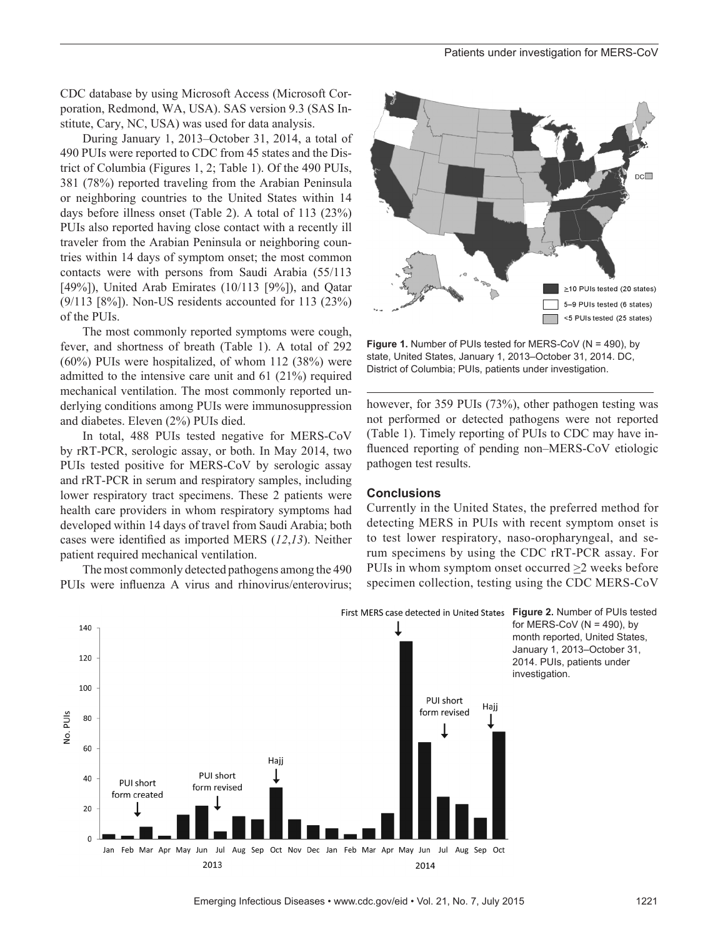CDC database by using Microsoft Access (Microsoft Corporation, Redmond, WA, USA). SAS version 9.3 (SAS Institute, Cary, NC, USA) was used for data analysis.

During January 1, 2013–October 31, 2014, a total of 490 PUIs were reported to CDC from 45 states and the District of Columbia (Figures 1, 2; Table 1). Of the 490 PUIs, 381 (78%) reported traveling from the Arabian Peninsula or neighboring countries to the United States within 14 days before illness onset (Table 2). A total of 113 (23%) PUIs also reported having close contact with a recently ill traveler from the Arabian Peninsula or neighboring countries within 14 days of symptom onset; the most common contacts were with persons from Saudi Arabia (55/113 [49%]), United Arab Emirates  $(10/113)$  [9%]), and Qatar  $(9/113 \text{ [8\%]})$ . Non-US residents accounted for 113 (23%) of the PUIs.

The most commonly reported symptoms were cough, fever, and shortness of breath (Table 1). A total of 292 (60%) PUIs were hospitalized, of whom 112 (38%) were admitted to the intensive care unit and 61 (21%) required mechanical ventilation. The most commonly reported underlying conditions among PUIs were immunosuppression and diabetes. Eleven (2%) PUIs died.

In total, 488 PUIs tested negative for MERS-CoV by rRT-PCR, serologic assay, or both. In May 2014, two PUIs tested positive for MERS-CoV by serologic assay and rRT-PCR in serum and respiratory samples, including lower respiratory tract specimens. These 2 patients were health care providers in whom respiratory symptoms had developed within 14 days of travel from Saudi Arabia; both cases were identified as imported MERS (*12*,*13*). Neither patient required mechanical ventilation.

The most commonly detected pathogens among the 490 PUIs were influenza A virus and rhinovirus/enterovirus;



**Figure 1.** Number of PUIs tested for MERS-CoV (N = 490), by state, United States, January 1, 2013–October 31, 2014. DC, District of Columbia; PUIs, patients under investigation.

however, for 359 PUIs (73%), other pathogen testing was not performed or detected pathogens were not reported (Table 1). Timely reporting of PUIs to CDC may have influenced reporting of pending non–MERS-CoV etiologic pathogen test results.

#### **Conclusions**

Currently in the United States, the preferred method for detecting MERS in PUIs with recent symptom onset is to test lower respiratory, naso-oropharyngeal, and serum specimens by using the CDC rRT-PCR assay. For PUIs in whom symptom onset occurred >2 weeks before specimen collection, testing using the CDC MERS-CoV

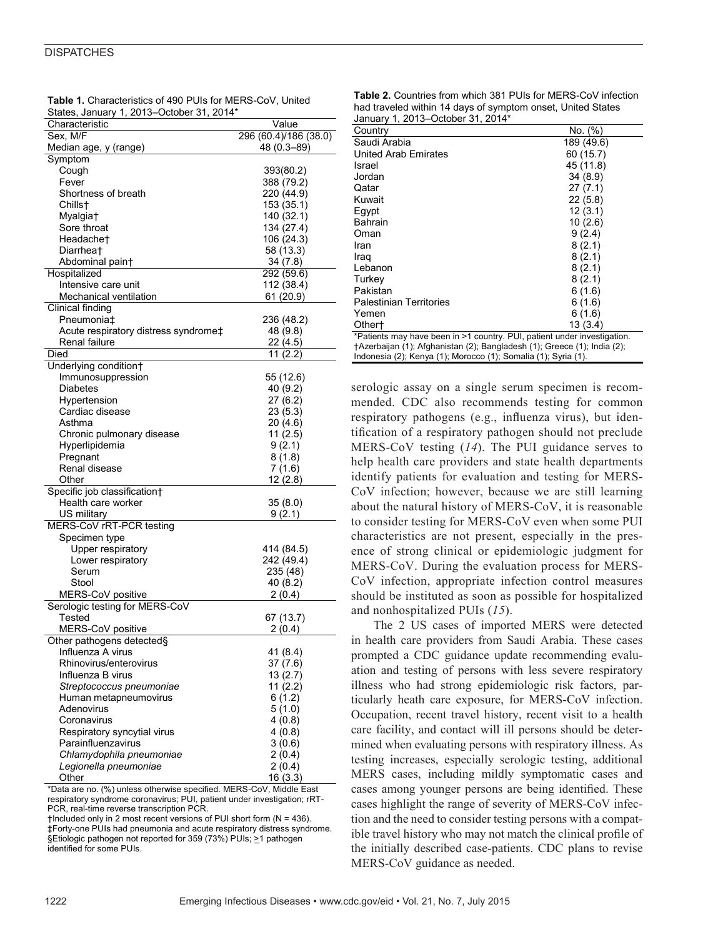#### **DISPATCHES**

| Value<br>Characteristic<br>296 (60.4)/186 (38.0)<br>Sex, M/F<br>$48(0.3 - 89)$<br>Median age, y (range)<br>Symptom<br>Cough<br>393(80.2)<br>Fever<br>388 (79.2)<br>Shortness of breath<br>220 (44.9)<br>153 (35.1)<br>Chills†<br>140 (32.1)<br>Myalgia <sup>+</sup><br>134 (27.4)<br>Sore throat<br>Headache <sup>+</sup><br>106 (24.3)<br>58 (13.3)<br>Diarrhea†<br>Abdominal paint<br>34 (7.8)<br>Hospitalized<br>292 (59.6)<br>Intensive care unit<br>112 (38.4)<br>Mechanical ventilation<br>61 (20.9)<br>Clinical finding<br>Pneumonia‡<br>236 (48.2)<br>Acute respiratory distress syndrome‡<br>48 (9.8)<br>Renal failure<br>22 (4.5)<br>Died<br>11(2.2)<br>Underlying condition+<br>Immunosuppression<br>55 (12.6)<br>Diabetes<br>40 (9.2)<br>Hypertension<br>27 (6.2)<br>Cardiac disease<br>23 (5.3)<br>Asthma<br>20 (4.6)<br>Chronic pulmonary disease<br>11(2.5)<br>Hyperlipidemia<br>9(2.1)<br>8(1.8)<br>Pregnant<br>Renal disease<br>7(1.6)<br>12(2.8)<br>Other<br>Specific job classification†<br>Health care worker<br>35(8.0)<br>US military<br>9(2.1)<br>MERS-CoV rRT-PCR testing<br>Specimen type<br>Upper respiratory<br>414 (84.5)<br>Lower respiratory<br>242 (49.4)<br>Serum<br>235 (48)<br>Stool<br>40 (8.2)<br>MERS-CoV positive<br>2(0.4)<br>Serologic testing for MERS-CoV<br>Tested<br>67 (13.7)<br>MERS-CoV positive<br>2(0.4)<br>Other pathogens detected§<br>Influenza A virus<br>41 (8.4)<br>Rhinovirus/enterovirus<br>37 (7.6)<br>Influenza B virus<br>13(2.7)<br>Streptococcus pneumoniae<br>11(2.2)<br>Human metapneumovirus<br>6(1.2)<br>Adenovirus<br>5(1.0)<br>4(0.8)<br>Coronavirus<br>Respiratory syncytial virus<br>4(0.8)<br>Parainfluenzavirus<br>3(0.6)<br>Chlamydophila pneumoniae<br>2(0.4)<br>2(0.4)<br>Legionella pneumoniae<br>16(3.3)<br>Other | States, January 1, 2013–October 31, 2014 |  |
|------------------------------------------------------------------------------------------------------------------------------------------------------------------------------------------------------------------------------------------------------------------------------------------------------------------------------------------------------------------------------------------------------------------------------------------------------------------------------------------------------------------------------------------------------------------------------------------------------------------------------------------------------------------------------------------------------------------------------------------------------------------------------------------------------------------------------------------------------------------------------------------------------------------------------------------------------------------------------------------------------------------------------------------------------------------------------------------------------------------------------------------------------------------------------------------------------------------------------------------------------------------------------------------------------------------------------------------------------------------------------------------------------------------------------------------------------------------------------------------------------------------------------------------------------------------------------------------------------------------------------------------------------------------------------------------------------------------------------------------------------------------------------------------------|------------------------------------------|--|
|                                                                                                                                                                                                                                                                                                                                                                                                                                                                                                                                                                                                                                                                                                                                                                                                                                                                                                                                                                                                                                                                                                                                                                                                                                                                                                                                                                                                                                                                                                                                                                                                                                                                                                                                                                                                |                                          |  |
|                                                                                                                                                                                                                                                                                                                                                                                                                                                                                                                                                                                                                                                                                                                                                                                                                                                                                                                                                                                                                                                                                                                                                                                                                                                                                                                                                                                                                                                                                                                                                                                                                                                                                                                                                                                                |                                          |  |
|                                                                                                                                                                                                                                                                                                                                                                                                                                                                                                                                                                                                                                                                                                                                                                                                                                                                                                                                                                                                                                                                                                                                                                                                                                                                                                                                                                                                                                                                                                                                                                                                                                                                                                                                                                                                |                                          |  |
|                                                                                                                                                                                                                                                                                                                                                                                                                                                                                                                                                                                                                                                                                                                                                                                                                                                                                                                                                                                                                                                                                                                                                                                                                                                                                                                                                                                                                                                                                                                                                                                                                                                                                                                                                                                                |                                          |  |
|                                                                                                                                                                                                                                                                                                                                                                                                                                                                                                                                                                                                                                                                                                                                                                                                                                                                                                                                                                                                                                                                                                                                                                                                                                                                                                                                                                                                                                                                                                                                                                                                                                                                                                                                                                                                |                                          |  |
|                                                                                                                                                                                                                                                                                                                                                                                                                                                                                                                                                                                                                                                                                                                                                                                                                                                                                                                                                                                                                                                                                                                                                                                                                                                                                                                                                                                                                                                                                                                                                                                                                                                                                                                                                                                                |                                          |  |
|                                                                                                                                                                                                                                                                                                                                                                                                                                                                                                                                                                                                                                                                                                                                                                                                                                                                                                                                                                                                                                                                                                                                                                                                                                                                                                                                                                                                                                                                                                                                                                                                                                                                                                                                                                                                |                                          |  |
|                                                                                                                                                                                                                                                                                                                                                                                                                                                                                                                                                                                                                                                                                                                                                                                                                                                                                                                                                                                                                                                                                                                                                                                                                                                                                                                                                                                                                                                                                                                                                                                                                                                                                                                                                                                                |                                          |  |
|                                                                                                                                                                                                                                                                                                                                                                                                                                                                                                                                                                                                                                                                                                                                                                                                                                                                                                                                                                                                                                                                                                                                                                                                                                                                                                                                                                                                                                                                                                                                                                                                                                                                                                                                                                                                |                                          |  |
|                                                                                                                                                                                                                                                                                                                                                                                                                                                                                                                                                                                                                                                                                                                                                                                                                                                                                                                                                                                                                                                                                                                                                                                                                                                                                                                                                                                                                                                                                                                                                                                                                                                                                                                                                                                                |                                          |  |
|                                                                                                                                                                                                                                                                                                                                                                                                                                                                                                                                                                                                                                                                                                                                                                                                                                                                                                                                                                                                                                                                                                                                                                                                                                                                                                                                                                                                                                                                                                                                                                                                                                                                                                                                                                                                |                                          |  |
|                                                                                                                                                                                                                                                                                                                                                                                                                                                                                                                                                                                                                                                                                                                                                                                                                                                                                                                                                                                                                                                                                                                                                                                                                                                                                                                                                                                                                                                                                                                                                                                                                                                                                                                                                                                                |                                          |  |
|                                                                                                                                                                                                                                                                                                                                                                                                                                                                                                                                                                                                                                                                                                                                                                                                                                                                                                                                                                                                                                                                                                                                                                                                                                                                                                                                                                                                                                                                                                                                                                                                                                                                                                                                                                                                |                                          |  |
|                                                                                                                                                                                                                                                                                                                                                                                                                                                                                                                                                                                                                                                                                                                                                                                                                                                                                                                                                                                                                                                                                                                                                                                                                                                                                                                                                                                                                                                                                                                                                                                                                                                                                                                                                                                                |                                          |  |
|                                                                                                                                                                                                                                                                                                                                                                                                                                                                                                                                                                                                                                                                                                                                                                                                                                                                                                                                                                                                                                                                                                                                                                                                                                                                                                                                                                                                                                                                                                                                                                                                                                                                                                                                                                                                |                                          |  |
|                                                                                                                                                                                                                                                                                                                                                                                                                                                                                                                                                                                                                                                                                                                                                                                                                                                                                                                                                                                                                                                                                                                                                                                                                                                                                                                                                                                                                                                                                                                                                                                                                                                                                                                                                                                                |                                          |  |
|                                                                                                                                                                                                                                                                                                                                                                                                                                                                                                                                                                                                                                                                                                                                                                                                                                                                                                                                                                                                                                                                                                                                                                                                                                                                                                                                                                                                                                                                                                                                                                                                                                                                                                                                                                                                |                                          |  |
|                                                                                                                                                                                                                                                                                                                                                                                                                                                                                                                                                                                                                                                                                                                                                                                                                                                                                                                                                                                                                                                                                                                                                                                                                                                                                                                                                                                                                                                                                                                                                                                                                                                                                                                                                                                                |                                          |  |
|                                                                                                                                                                                                                                                                                                                                                                                                                                                                                                                                                                                                                                                                                                                                                                                                                                                                                                                                                                                                                                                                                                                                                                                                                                                                                                                                                                                                                                                                                                                                                                                                                                                                                                                                                                                                |                                          |  |
|                                                                                                                                                                                                                                                                                                                                                                                                                                                                                                                                                                                                                                                                                                                                                                                                                                                                                                                                                                                                                                                                                                                                                                                                                                                                                                                                                                                                                                                                                                                                                                                                                                                                                                                                                                                                |                                          |  |
|                                                                                                                                                                                                                                                                                                                                                                                                                                                                                                                                                                                                                                                                                                                                                                                                                                                                                                                                                                                                                                                                                                                                                                                                                                                                                                                                                                                                                                                                                                                                                                                                                                                                                                                                                                                                |                                          |  |
|                                                                                                                                                                                                                                                                                                                                                                                                                                                                                                                                                                                                                                                                                                                                                                                                                                                                                                                                                                                                                                                                                                                                                                                                                                                                                                                                                                                                                                                                                                                                                                                                                                                                                                                                                                                                |                                          |  |
|                                                                                                                                                                                                                                                                                                                                                                                                                                                                                                                                                                                                                                                                                                                                                                                                                                                                                                                                                                                                                                                                                                                                                                                                                                                                                                                                                                                                                                                                                                                                                                                                                                                                                                                                                                                                |                                          |  |
|                                                                                                                                                                                                                                                                                                                                                                                                                                                                                                                                                                                                                                                                                                                                                                                                                                                                                                                                                                                                                                                                                                                                                                                                                                                                                                                                                                                                                                                                                                                                                                                                                                                                                                                                                                                                |                                          |  |
|                                                                                                                                                                                                                                                                                                                                                                                                                                                                                                                                                                                                                                                                                                                                                                                                                                                                                                                                                                                                                                                                                                                                                                                                                                                                                                                                                                                                                                                                                                                                                                                                                                                                                                                                                                                                |                                          |  |
|                                                                                                                                                                                                                                                                                                                                                                                                                                                                                                                                                                                                                                                                                                                                                                                                                                                                                                                                                                                                                                                                                                                                                                                                                                                                                                                                                                                                                                                                                                                                                                                                                                                                                                                                                                                                |                                          |  |
|                                                                                                                                                                                                                                                                                                                                                                                                                                                                                                                                                                                                                                                                                                                                                                                                                                                                                                                                                                                                                                                                                                                                                                                                                                                                                                                                                                                                                                                                                                                                                                                                                                                                                                                                                                                                |                                          |  |
|                                                                                                                                                                                                                                                                                                                                                                                                                                                                                                                                                                                                                                                                                                                                                                                                                                                                                                                                                                                                                                                                                                                                                                                                                                                                                                                                                                                                                                                                                                                                                                                                                                                                                                                                                                                                |                                          |  |
|                                                                                                                                                                                                                                                                                                                                                                                                                                                                                                                                                                                                                                                                                                                                                                                                                                                                                                                                                                                                                                                                                                                                                                                                                                                                                                                                                                                                                                                                                                                                                                                                                                                                                                                                                                                                |                                          |  |
|                                                                                                                                                                                                                                                                                                                                                                                                                                                                                                                                                                                                                                                                                                                                                                                                                                                                                                                                                                                                                                                                                                                                                                                                                                                                                                                                                                                                                                                                                                                                                                                                                                                                                                                                                                                                |                                          |  |
|                                                                                                                                                                                                                                                                                                                                                                                                                                                                                                                                                                                                                                                                                                                                                                                                                                                                                                                                                                                                                                                                                                                                                                                                                                                                                                                                                                                                                                                                                                                                                                                                                                                                                                                                                                                                |                                          |  |
|                                                                                                                                                                                                                                                                                                                                                                                                                                                                                                                                                                                                                                                                                                                                                                                                                                                                                                                                                                                                                                                                                                                                                                                                                                                                                                                                                                                                                                                                                                                                                                                                                                                                                                                                                                                                |                                          |  |
|                                                                                                                                                                                                                                                                                                                                                                                                                                                                                                                                                                                                                                                                                                                                                                                                                                                                                                                                                                                                                                                                                                                                                                                                                                                                                                                                                                                                                                                                                                                                                                                                                                                                                                                                                                                                |                                          |  |
|                                                                                                                                                                                                                                                                                                                                                                                                                                                                                                                                                                                                                                                                                                                                                                                                                                                                                                                                                                                                                                                                                                                                                                                                                                                                                                                                                                                                                                                                                                                                                                                                                                                                                                                                                                                                |                                          |  |
|                                                                                                                                                                                                                                                                                                                                                                                                                                                                                                                                                                                                                                                                                                                                                                                                                                                                                                                                                                                                                                                                                                                                                                                                                                                                                                                                                                                                                                                                                                                                                                                                                                                                                                                                                                                                |                                          |  |
|                                                                                                                                                                                                                                                                                                                                                                                                                                                                                                                                                                                                                                                                                                                                                                                                                                                                                                                                                                                                                                                                                                                                                                                                                                                                                                                                                                                                                                                                                                                                                                                                                                                                                                                                                                                                |                                          |  |
|                                                                                                                                                                                                                                                                                                                                                                                                                                                                                                                                                                                                                                                                                                                                                                                                                                                                                                                                                                                                                                                                                                                                                                                                                                                                                                                                                                                                                                                                                                                                                                                                                                                                                                                                                                                                |                                          |  |
|                                                                                                                                                                                                                                                                                                                                                                                                                                                                                                                                                                                                                                                                                                                                                                                                                                                                                                                                                                                                                                                                                                                                                                                                                                                                                                                                                                                                                                                                                                                                                                                                                                                                                                                                                                                                |                                          |  |
|                                                                                                                                                                                                                                                                                                                                                                                                                                                                                                                                                                                                                                                                                                                                                                                                                                                                                                                                                                                                                                                                                                                                                                                                                                                                                                                                                                                                                                                                                                                                                                                                                                                                                                                                                                                                |                                          |  |
|                                                                                                                                                                                                                                                                                                                                                                                                                                                                                                                                                                                                                                                                                                                                                                                                                                                                                                                                                                                                                                                                                                                                                                                                                                                                                                                                                                                                                                                                                                                                                                                                                                                                                                                                                                                                |                                          |  |
|                                                                                                                                                                                                                                                                                                                                                                                                                                                                                                                                                                                                                                                                                                                                                                                                                                                                                                                                                                                                                                                                                                                                                                                                                                                                                                                                                                                                                                                                                                                                                                                                                                                                                                                                                                                                |                                          |  |
|                                                                                                                                                                                                                                                                                                                                                                                                                                                                                                                                                                                                                                                                                                                                                                                                                                                                                                                                                                                                                                                                                                                                                                                                                                                                                                                                                                                                                                                                                                                                                                                                                                                                                                                                                                                                |                                          |  |
|                                                                                                                                                                                                                                                                                                                                                                                                                                                                                                                                                                                                                                                                                                                                                                                                                                                                                                                                                                                                                                                                                                                                                                                                                                                                                                                                                                                                                                                                                                                                                                                                                                                                                                                                                                                                |                                          |  |
|                                                                                                                                                                                                                                                                                                                                                                                                                                                                                                                                                                                                                                                                                                                                                                                                                                                                                                                                                                                                                                                                                                                                                                                                                                                                                                                                                                                                                                                                                                                                                                                                                                                                                                                                                                                                |                                          |  |
|                                                                                                                                                                                                                                                                                                                                                                                                                                                                                                                                                                                                                                                                                                                                                                                                                                                                                                                                                                                                                                                                                                                                                                                                                                                                                                                                                                                                                                                                                                                                                                                                                                                                                                                                                                                                |                                          |  |
|                                                                                                                                                                                                                                                                                                                                                                                                                                                                                                                                                                                                                                                                                                                                                                                                                                                                                                                                                                                                                                                                                                                                                                                                                                                                                                                                                                                                                                                                                                                                                                                                                                                                                                                                                                                                |                                          |  |
|                                                                                                                                                                                                                                                                                                                                                                                                                                                                                                                                                                                                                                                                                                                                                                                                                                                                                                                                                                                                                                                                                                                                                                                                                                                                                                                                                                                                                                                                                                                                                                                                                                                                                                                                                                                                |                                          |  |
|                                                                                                                                                                                                                                                                                                                                                                                                                                                                                                                                                                                                                                                                                                                                                                                                                                                                                                                                                                                                                                                                                                                                                                                                                                                                                                                                                                                                                                                                                                                                                                                                                                                                                                                                                                                                |                                          |  |
|                                                                                                                                                                                                                                                                                                                                                                                                                                                                                                                                                                                                                                                                                                                                                                                                                                                                                                                                                                                                                                                                                                                                                                                                                                                                                                                                                                                                                                                                                                                                                                                                                                                                                                                                                                                                |                                          |  |
|                                                                                                                                                                                                                                                                                                                                                                                                                                                                                                                                                                                                                                                                                                                                                                                                                                                                                                                                                                                                                                                                                                                                                                                                                                                                                                                                                                                                                                                                                                                                                                                                                                                                                                                                                                                                |                                          |  |
|                                                                                                                                                                                                                                                                                                                                                                                                                                                                                                                                                                                                                                                                                                                                                                                                                                                                                                                                                                                                                                                                                                                                                                                                                                                                                                                                                                                                                                                                                                                                                                                                                                                                                                                                                                                                |                                          |  |
|                                                                                                                                                                                                                                                                                                                                                                                                                                                                                                                                                                                                                                                                                                                                                                                                                                                                                                                                                                                                                                                                                                                                                                                                                                                                                                                                                                                                                                                                                                                                                                                                                                                                                                                                                                                                |                                          |  |
|                                                                                                                                                                                                                                                                                                                                                                                                                                                                                                                                                                                                                                                                                                                                                                                                                                                                                                                                                                                                                                                                                                                                                                                                                                                                                                                                                                                                                                                                                                                                                                                                                                                                                                                                                                                                |                                          |  |
|                                                                                                                                                                                                                                                                                                                                                                                                                                                                                                                                                                                                                                                                                                                                                                                                                                                                                                                                                                                                                                                                                                                                                                                                                                                                                                                                                                                                                                                                                                                                                                                                                                                                                                                                                                                                |                                          |  |
|                                                                                                                                                                                                                                                                                                                                                                                                                                                                                                                                                                                                                                                                                                                                                                                                                                                                                                                                                                                                                                                                                                                                                                                                                                                                                                                                                                                                                                                                                                                                                                                                                                                                                                                                                                                                |                                          |  |
|                                                                                                                                                                                                                                                                                                                                                                                                                                                                                                                                                                                                                                                                                                                                                                                                                                                                                                                                                                                                                                                                                                                                                                                                                                                                                                                                                                                                                                                                                                                                                                                                                                                                                                                                                                                                |                                          |  |
|                                                                                                                                                                                                                                                                                                                                                                                                                                                                                                                                                                                                                                                                                                                                                                                                                                                                                                                                                                                                                                                                                                                                                                                                                                                                                                                                                                                                                                                                                                                                                                                                                                                                                                                                                                                                |                                          |  |
|                                                                                                                                                                                                                                                                                                                                                                                                                                                                                                                                                                                                                                                                                                                                                                                                                                                                                                                                                                                                                                                                                                                                                                                                                                                                                                                                                                                                                                                                                                                                                                                                                                                                                                                                                                                                |                                          |  |
|                                                                                                                                                                                                                                                                                                                                                                                                                                                                                                                                                                                                                                                                                                                                                                                                                                                                                                                                                                                                                                                                                                                                                                                                                                                                                                                                                                                                                                                                                                                                                                                                                                                                                                                                                                                                |                                          |  |
|                                                                                                                                                                                                                                                                                                                                                                                                                                                                                                                                                                                                                                                                                                                                                                                                                                                                                                                                                                                                                                                                                                                                                                                                                                                                                                                                                                                                                                                                                                                                                                                                                                                                                                                                                                                                |                                          |  |
|                                                                                                                                                                                                                                                                                                                                                                                                                                                                                                                                                                                                                                                                                                                                                                                                                                                                                                                                                                                                                                                                                                                                                                                                                                                                                                                                                                                                                                                                                                                                                                                                                                                                                                                                                                                                |                                          |  |

**Table 1.** Characteristics of 490 PUIs for MERS-CoV, United States, January 1, 2013–October 31, 2014\*

\*Data are no. (%) unless otherwise specified. MERS-CoV, Middle East respiratory syndrome coronavirus; PUI, patient under investigation; rRT-PCR, real-time reverse transcription PCR.

 $+$ Included only in 2 most recent versions of PUI short form (N = 436). ‡Forty-one PUIs had pneumonia and acute respiratory distress syndrome. §Etiologic pathogen not reported for 359 (73%) PUIs; >1 pathogen identified for some PUIs.

**Table 2.** Countries from which 381 PUIs for MERS-CoV infection had traveled within 14 days of symptom onset, United States  $Japu$ gnuary 1, 2013, October 31, 2014\*

| January 1, 2013–October 31, 2014 <sup>-</sup>                                                                                              |            |  |
|--------------------------------------------------------------------------------------------------------------------------------------------|------------|--|
| Country                                                                                                                                    | No. (%)    |  |
| Saudi Arabia                                                                                                                               | 189 (49.6) |  |
| United Arab Emirates                                                                                                                       | 60 (15.7)  |  |
| Israel                                                                                                                                     | 45 (11.8)  |  |
| Jordan                                                                                                                                     | 34(8.9)    |  |
| Qatar                                                                                                                                      | 27(7.1)    |  |
| Kuwait                                                                                                                                     | 22(5.8)    |  |
| Egypt                                                                                                                                      | 12(3.1)    |  |
| Bahrain                                                                                                                                    | 10(2.6)    |  |
| Oman                                                                                                                                       | 9(2.4)     |  |
| Iran                                                                                                                                       | 8(2.1)     |  |
| Iraq                                                                                                                                       | 8(2.1)     |  |
| Lebanon                                                                                                                                    | 8(2.1)     |  |
| Turkey                                                                                                                                     | 8(2.1)     |  |
| Pakistan                                                                                                                                   | 6(1.6)     |  |
| <b>Palestinian Territories</b>                                                                                                             | 6 (1.6)    |  |
| Yemen                                                                                                                                      | 6(1.6)     |  |
| Other <sup>+</sup>                                                                                                                         | 13(3.4)    |  |
| *Patients may have been in >1 country. PUI, patient under investigation.                                                                   |            |  |
| †Azerbaijan (1); Afghanistan (2); Bangladesh (1); Greece (1); India (2);<br>Indonesia (2); Kenya (1); Morocco (1); Somalia (1); Syria (1). |            |  |
|                                                                                                                                            |            |  |

serologic assay on a single serum specimen is recommended. CDC also recommends testing for common respiratory pathogens (e.g., influenza virus), but identification of a respiratory pathogen should not preclude MERS-CoV testing (*14*). The PUI guidance serves to help health care providers and state health departments identify patients for evaluation and testing for MERS-CoV infection; however, because we are still learning about the natural history of MERS-CoV, it is reasonable to consider testing for MERS-CoV even when some PUI characteristics are not present, especially in the presence of strong clinical or epidemiologic judgment for MERS-CoV. During the evaluation process for MERS-CoV infection, appropriate infection control measures should be instituted as soon as possible for hospitalized and nonhospitalized PUIs (*15*).

The 2 US cases of imported MERS were detected in health care providers from Saudi Arabia. These cases prompted a CDC guidance update recommending evaluation and testing of persons with less severe respiratory illness who had strong epidemiologic risk factors, particularly heath care exposure, for MERS-CoV infection. Occupation, recent travel history, recent visit to a health care facility, and contact will ill persons should be determined when evaluating persons with respiratory illness. As testing increases, especially serologic testing, additional MERS cases, including mildly symptomatic cases and cases among younger persons are being identified. These cases highlight the range of severity of MERS-CoV infection and the need to consider testing persons with a compatible travel history who may not match the clinical profile of the initially described case-patients. CDC plans to revise MERS-CoV guidance as needed.